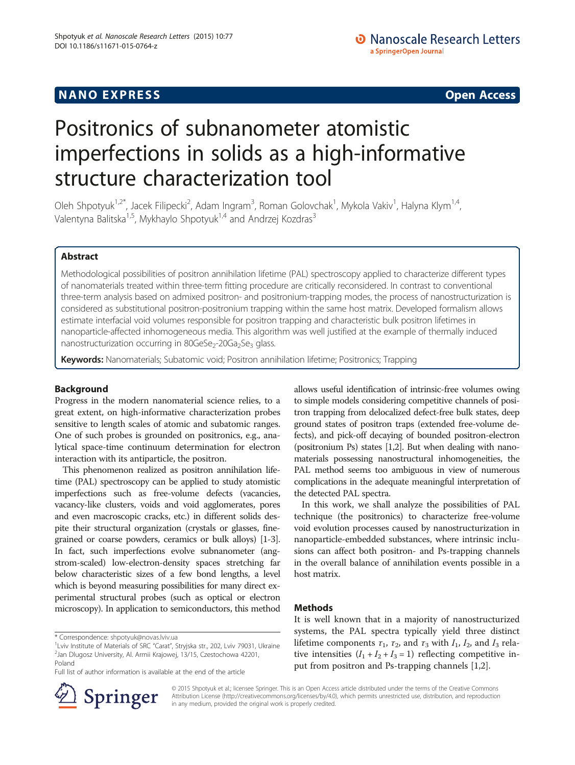# Positronics of subnanometer atomistic imperfections in solids as a high-informative structure characterization tool

Oleh Shpotyuk<sup>1,2\*</sup>, Jacek Filipecki<sup>2</sup>, Adam Ingram<sup>3</sup>, Roman Golovchak<sup>1</sup>, Mykola Vakiv<sup>1</sup>, Halyna Klym<sup>1,4</sup>, Valentyna Balitska<sup>1,5</sup>, Mykhaylo Shpotyuk<sup>1,4</sup> and Andrzej Kozdras<sup>3</sup>

# Abstract

Methodological possibilities of positron annihilation lifetime (PAL) spectroscopy applied to characterize different types of nanomaterials treated within three-term fitting procedure are critically reconsidered. In contrast to conventional three-term analysis based on admixed positron- and positronium-trapping modes, the process of nanostructurization is considered as substitutional positron-positronium trapping within the same host matrix. Developed formalism allows estimate interfacial void volumes responsible for positron trapping and characteristic bulk positron lifetimes in nanoparticle-affected inhomogeneous media. This algorithm was well justified at the example of thermally induced nanostructurization occurring in  $80GeSe_2-20Ga_2Se_3$  glass.

Keywords: Nanomaterials; Subatomic void; Positron annihilation lifetime; Positronics; Trapping

## Background

Progress in the modern nanomaterial science relies, to a great extent, on high-informative characterization probes sensitive to length scales of atomic and subatomic ranges. One of such probes is grounded on positronics, e.g., analytical space-time continuum determination for electron interaction with its antiparticle, the positron.

This phenomenon realized as positron annihilation lifetime (PAL) spectroscopy can be applied to study atomistic imperfections such as free-volume defects (vacancies, vacancy-like clusters, voids and void agglomerates, pores and even macroscopic cracks, etc.) in different solids despite their structural organization (crystals or glasses, finegrained or coarse powders, ceramics or bulk alloys) [[1](#page-4-0)-[3](#page-4-0)]. In fact, such imperfections evolve subnanometer (angstrom-scaled) low-electron-density spaces stretching far below characteristic sizes of a few bond lengths, a level which is beyond measuring possibilities for many direct experimental structural probes (such as optical or electron microscopy). In application to semiconductors, this method

\* Correspondence: [shpotyuk@novas.lviv.ua](mailto:shpotyuk@novas.lviv.ua) <sup>1</sup>



In this work, we shall analyze the possibilities of PAL technique (the positronics) to characterize free-volume void evolution processes caused by nanostructurization in nanoparticle-embedded substances, where intrinsic inclusions can affect both positron- and Ps-trapping channels in the overall balance of annihilation events possible in a host matrix.

### Methods

It is well known that in a majority of nanostructurized systems, the PAL spectra typically yield three distinct lifetime components  $\tau_1$ ,  $\tau_2$ , and  $\tau_3$  with  $I_1$ ,  $I_2$ , and  $I_3$  relative intensities  $(I_1 + I_2 + I_3 = 1)$  reflecting competitive input from positron and Ps-trapping channels [\[1,2](#page-4-0)].



© 2015 Shpotyuk et al.; licensee Springer. This is an Open Access article distributed under the terms of the Creative Commons Attribution License [\(http://creativecommons.org/licenses/by/4.0\)](http://creativecommons.org/licenses/by/4.0), which permits unrestricted use, distribution, and reproduction in any medium, provided the original work is properly credited.

<sup>&</sup>lt;sup>1</sup>Lviv Institute of Materials of SRC "Carat", Stryjska str., 202, Lviv 79031, Ukraine  $2$ Jan Dlugosz University, Al. Armii Krajowej, 13/15, Czestochowa 42201, Poland

Full list of author information is available at the end of the article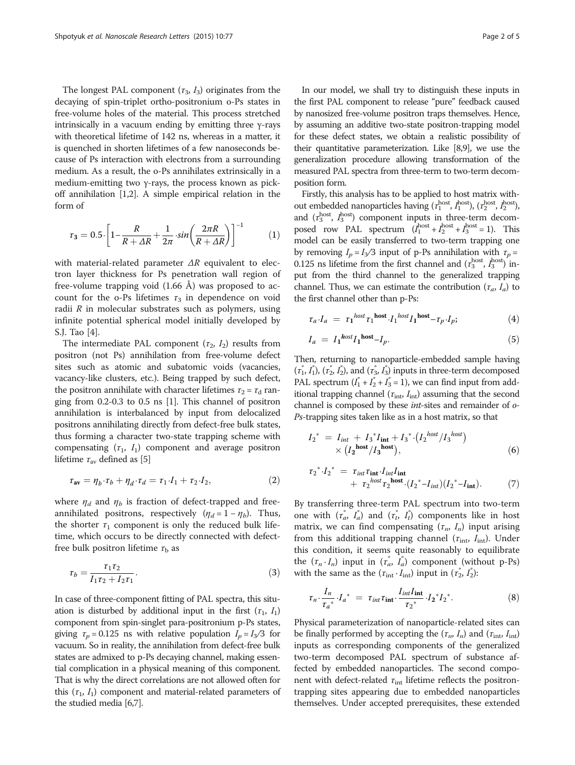<span id="page-1-0"></span>The longest PAL component  $(\tau_3, I_3)$  originates from the decaying of spin-triplet ortho-positronium o-Ps states in free-volume holes of the material. This process stretched intrinsically in a vacuum ending by emitting three γ-rays with theoretical lifetime of 142 ns, whereas in a matter, it is quenched in shorten lifetimes of a few nanoseconds because of Ps interaction with electrons from a surrounding medium. As a result, the o-Ps annihilates extrinsically in a medium-emitting two γ-rays, the process known as pickoff annihilation [[1](#page-4-0),[2](#page-4-0)]. A simple empirical relation in the form of

$$
\tau_3 = 0.5 \cdot \left[ 1 - \frac{R}{R + \Delta R} + \frac{1}{2\pi} \cdot \sin\left(\frac{2\pi R}{R + \Delta R}\right) \right]^{-1} \tag{1}
$$

with material-related parameter  $\Delta R$  equivalent to electron layer thickness for Ps penetration wall region of free-volume trapping void (1.66 Å) was proposed to account for the o-Ps lifetimes  $\tau_3$  in dependence on void radii  $R$  in molecular substrates such as polymers, using infinite potential spherical model initially developed by S.J. Tao [\[4](#page-4-0)].

The intermediate PAL component  $(\tau_2, I_2)$  results from positron (not Ps) annihilation from free-volume defect sites such as atomic and subatomic voids (vacancies, vacancy-like clusters, etc.). Being trapped by such defect, the positron annihilate with character lifetimes  $\tau_2 = \tau_d$  ranging from 0.2-0.3 to 0.5 ns [\[1\]](#page-4-0). This channel of positron annihilation is interbalanced by input from delocalized positrons annihilating directly from defect-free bulk states, thus forming a character two-state trapping scheme with compensating  $(\tau_1, I_1)$  component and average positron lifetime  $\tau_{\text{av}}$  defined as [\[5](#page-4-0)]

$$
\tau_{\mathbf{av}} = \eta_b \cdot \tau_b + \eta_d \cdot \tau_d = \tau_1 \cdot I_1 + \tau_2 \cdot I_2,\tag{2}
$$

where  $\eta_d$  and  $\eta_b$  is fraction of defect-trapped and freeannihilated positrons, respectively  $(\eta_d = 1 - \eta_b)$ . Thus, the shorter  $\tau_1$  component is only the reduced bulk lifetime, which occurs to be directly connected with defectfree bulk positron lifetime  $\tau_{\rm b}$  as

$$
\tau_b = \frac{\tau_1 \tau_2}{I_1 \tau_2 + I_2 \tau_1}.
$$
\n(3)

In case of three-component fitting of PAL spectra, this situation is disturbed by additional input in the first  $(\tau_1, I_1)$ component from spin-singlet para-positronium p-Ps states, giving  $\tau_p = 0.125$  ns with relative population  $I_p = I_3/3$  for vacuum. So in reality, the annihilation from defect-free bulk states are admixed to p-Ps decaying channel, making essential complication in a physical meaning of this component. That is why the direct correlations are not allowed often for this  $(\tau_1, I_1)$  component and material-related parameters of the studied media [\[6,7](#page-4-0)].

In our model, we shall try to distinguish these inputs in the first PAL component to release "pure" feedback caused by nanosized free-volume positron traps themselves. Hence, by assuming an additive two-state positron-trapping model for these defect states, we obtain a realistic possibility of their quantitative parameterization. Like [[8,9\]](#page-4-0), we use the generalization procedure allowing transformation of the measured PAL spectra from three-term to two-term decomposition form.

Firstly, this analysis has to be applied to host matrix without embedded nanoparticles having  $(\tau_1^{\text{host}}, I_1^{\text{host}}), (\tau_2^{\text{host}}, I_2^{\text{host}})$ and  $(\tau_3^{\text{host}}, \tau_3^{\text{host}})$  component inputs in three-term decomposed row PAL spectrum  $(I_1^{\text{host}} + I_2^{\text{host}} + I_3^{\text{host}} = 1)$ . This model can be easily transferred to two-term trapping one by removing  $I_p = I_3/3$  input of p-Ps annihilation with  $\tau_p =$ 0.125 ns lifetime from the first channel and  $(\tau_3^{\text{host}}, f_3^{\text{host}})$  input from the third channel to the generalized trapping channel. Thus, we can estimate the contribution  $(\tau_a, I_a)$  to the first channel other than p-Ps:

$$
\tau_a \cdot I_a = \tau_1^{\text{host}} \tau_1^{\text{host}} \cdot I_1^{\text{host}} I_1^{\text{host}} - \tau_p \cdot I_p; \tag{4}
$$

$$
I_a = I_1^{\text{host}} I_1^{\text{host}} - I_p. \tag{5}
$$

Then, returning to nanoparticle-embedded sample having  $(\tau_1^*, I_1^*)$ ,  $(\tau_2^*, I_2^*)$ , and  $(\tau_3^*, I_3^*)$  inputs in three-term decomposed PAL spectrum  $(I_1^* + I_2^* + I_3^* = 1)$ , we can find input from additional trapping channel ( $\tau_{\text{int}}$ ,  $I_{\text{int}}$ ) assuming that the second channel is composed by these int-sites and remainder of o-Ps-trapping sites taken like as in a host matrix, so that

$$
I_2^* = I_{int} + I_3^* I_{int} + I_3^* \cdot (I_2^{host} / I_3^{host})
$$
  
×  $(I_2^{host} / I_3^{host})$ , (6)

$$
\tau_2^* \cdot I_2^* = \tau_{int} \tau_{int} I_{int} \mathbf{1}_{int} + \tau_2^{host} \tau_2^{host} \cdot (I_2^* - I_{int}) (I_2^* - I_{int}). \tag{7}
$$

By transferring three-term PAL spectrum into two-term one with  $(\tau_a^*, \, I_a^*)$  and  $(\tau_b^*, \, I_t^*)$  components like in host matrix, we can find compensating  $(\tau_n, I_n)$  input arising from this additional trapping channel ( $\tau_{\text{int}}$ ,  $I_{\text{int}}$ ). Under this condition, it seems quite reasonably to equilibrate the  $(\tau_n \cdot I_n)$  input in  $(\tau_a^*, I_a^*)$  component (without p-Ps) with the same as the  $(\tau_{int} \cdot I_{int})$  input in  $(\tau_2^*, I_2^*)$ :

$$
\tau_n \cdot \frac{I_n}{\tau_a^*} \cdot I_a^* = \tau_{int} \tau_{int} \cdot \frac{I_{int} I_{int}}{\tau_2^*} \cdot I_2^* I_2^*.
$$
 (8)

Physical parameterization of nanoparticle-related sites can be finally performed by accepting the  $(\tau_n, I_n)$  and  $(\tau_{\text{int}}, I_{\text{int}})$ inputs as corresponding components of the generalized two-term decomposed PAL spectrum of substance affected by embedded nanoparticles. The second component with defect-related  $\tau_{int}$  lifetime reflects the positrontrapping sites appearing due to embedded nanoparticles themselves. Under accepted prerequisites, these extended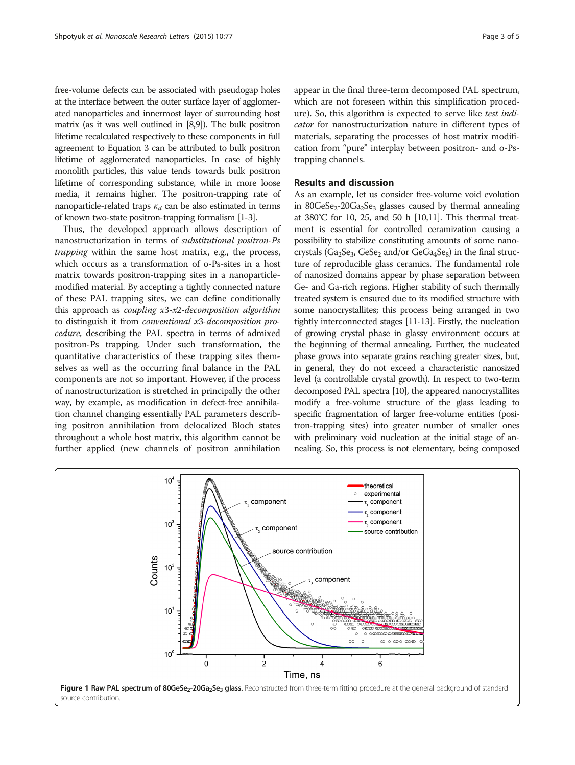<span id="page-2-0"></span>free-volume defects can be associated with pseudogap holes at the interface between the outer surface layer of agglomerated nanoparticles and innermost layer of surrounding host matrix (as it was well outlined in [\[8,9](#page-4-0)]). The bulk positron lifetime recalculated respectively to these components in full agreement to Equation [3](#page-1-0) can be attributed to bulk positron lifetime of agglomerated nanoparticles. In case of highly monolith particles, this value tends towards bulk positron lifetime of corresponding substance, while in more loose media, it remains higher. The positron-trapping rate of nanoparticle-related traps  $\kappa_d$  can be also estimated in terms of known two-state positron-trapping formalism [\[1-3\]](#page-4-0).

Thus, the developed approach allows description of nanostructurization in terms of substitutional positron-Ps trapping within the same host matrix, e.g., the process, which occurs as a transformation of o-Ps-sites in a host matrix towards positron-trapping sites in a nanoparticlemodified material. By accepting a tightly connected nature of these PAL trapping sites, we can define conditionally this approach as *coupling*  $x3-x2-decomposition algorithm$ to distinguish it from conventional x3-decomposition procedure, describing the PAL spectra in terms of admixed positron-Ps trapping. Under such transformation, the quantitative characteristics of these trapping sites themselves as well as the occurring final balance in the PAL components are not so important. However, if the process of nanostructurization is stretched in principally the other way, by example, as modification in defect-free annihilation channel changing essentially PAL parameters describing positron annihilation from delocalized Bloch states throughout a whole host matrix, this algorithm cannot be further applied (new channels of positron annihilation

appear in the final three-term decomposed PAL spectrum, which are not foreseen within this simplification procedure). So, this algorithm is expected to serve like test indicator for nanostructurization nature in different types of materials, separating the processes of host matrix modification from "pure" interplay between positron- and o-Pstrapping channels.

#### Results and discussion

As an example, let us consider free-volume void evolution in 80 $GeSe<sub>2</sub>$ -20 $Ga<sub>2</sub>Se<sub>3</sub>$  glasses caused by thermal annealing at 380°C for 10, 25, and 50 h [\[10,11](#page-4-0)]. This thermal treatment is essential for controlled ceramization causing a possibility to stabilize constituting amounts of some nanocrystals ( $Ga_2Se_3$ ,  $GeSe_2$  and/or  $GeGa_4Se_8$ ) in the final structure of reproducible glass ceramics. The fundamental role of nanosized domains appear by phase separation between Ge- and Ga-rich regions. Higher stability of such thermally treated system is ensured due to its modified structure with some nanocrystallites; this process being arranged in two tightly interconnected stages [\[11-13](#page-4-0)]. Firstly, the nucleation of growing crystal phase in glassy environment occurs at the beginning of thermal annealing. Further, the nucleated phase grows into separate grains reaching greater sizes, but, in general, they do not exceed a characteristic nanosized level (a controllable crystal growth). In respect to two-term decomposed PAL spectra [\[10\]](#page-4-0), the appeared nanocrystallites modify a free-volume structure of the glass leading to specific fragmentation of larger free-volume entities (positron-trapping sites) into greater number of smaller ones with preliminary void nucleation at the initial stage of annealing. So, this process is not elementary, being composed

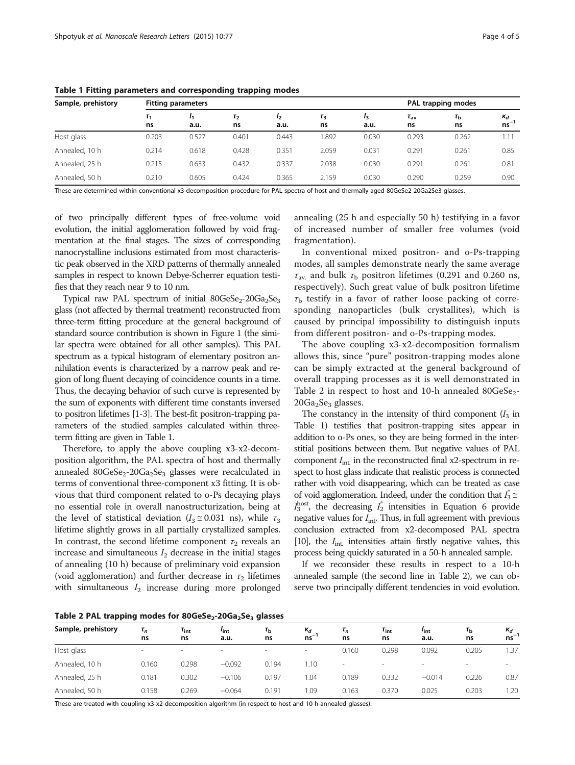| Sample, prehistory | <b>Fitting parameters</b> |                        |                |                        |                |               |                   | PAL trapping modes   |               |  |
|--------------------|---------------------------|------------------------|----------------|------------------------|----------------|---------------|-------------------|----------------------|---------------|--|
|                    | $\tau_1$<br>ns            | I <sub>1</sub><br>a.u. | $\tau_2$<br>ns | I <sub>2</sub><br>a.u. | $\tau_3$<br>ns | $I_3$<br>a.u. | $\tau_{av}$<br>ns | $\tau_{\rm b}$<br>ns | $K_d$<br>ns¯' |  |
| Host glass         | 0.203                     | 0.527                  | 0.401          | 0.443                  | .892           | 0.030         | 0.293             | 0.262                | 1.11          |  |
| Annealed, 10 h     | 0.214                     | 0.618                  | 0.428          | 0.351                  | 2.059          | 0.031         | 0.291             | 0.261                | 0.85          |  |
| Annealed, 25 h     | 0.215                     | 0.633                  | 0.432          | 0.337                  | 2.038          | 0.030         | 0.291             | 0.261                | 0.81          |  |
| Annealed, 50 h     | 0.210                     | 0.605                  | 0.424          | 0.365                  | 2.159          | 0.030         | 0.290             | 0.259                | 0.90          |  |

Table 1 Fitting parameters and corresponding trapping modes

These are determined within conventional x3-decomposition procedure for PAL spectra of host and thermally aged 80GeSe2-20Ga2Se3 glasses.

of two principally different types of free-volume void evolution, the initial agglomeration followed by void fragmentation at the final stages. The sizes of corresponding nanocrystalline inclusions estimated from most characteristic peak observed in the XRD patterns of thermally annealed samples in respect to known Debye-Scherrer equation testifies that they reach near 9 to 10 nm.

Typical raw PAL spectrum of initial 80GeSe<sub>2</sub>-20Ga<sub>2</sub>Se<sub>3</sub> glass (not affected by thermal treatment) reconstructed from three-term fitting procedure at the general background of standard source contribution is shown in Figure [1](#page-2-0) (the similar spectra were obtained for all other samples). This PAL spectrum as a typical histogram of elementary positron annihilation events is characterized by a narrow peak and region of long fluent decaying of coincidence counts in a time. Thus, the decaying behavior of such curve is represented by the sum of exponents with different time constants inversed to positron lifetimes [\[1-3\]](#page-4-0). The best-fit positron-trapping parameters of the studied samples calculated within threeterm fitting are given in Table 1.

Therefore, to apply the above coupling x3-x2-decomposition algorithm, the PAL spectra of host and thermally annealed 80GeSe<sub>2</sub>-20Ga<sub>2</sub>Se<sub>3</sub> glasses were recalculated in terms of conventional three-component x3 fitting. It is obvious that third component related to o-Ps decaying plays no essential role in overall nanostructurization, being at the level of statistical deviation ( $I_3 \approx 0.031$  ns), while  $\tau_3$ lifetime slightly grows in all partially crystallized samples. In contrast, the second lifetime component  $\tau_2$  reveals an increase and simultaneous  $I_2$  decrease in the initial stages of annealing (10 h) because of preliminary void expansion (void agglomeration) and further decrease in  $\tau_2$  lifetimes with simultaneous  $I_2$  increase during more prolonged annealing (25 h and especially 50 h) testifying in a favor of increased number of smaller free volumes (void fragmentation).

In conventional mixed positron- and o-Ps-trapping modes, all samples demonstrate nearly the same average  $\tau_{av}$  and bulk  $\tau_{b}$  positron lifetimes (0.291 and 0.260 ns, respectively). Such great value of bulk positron lifetime  $\tau_{\rm b}$  testify in a favor of rather loose packing of corresponding nanoparticles (bulk crystallites), which is caused by principal impossibility to distinguish inputs from different positron- and o-Ps-trapping modes.

The above coupling x3-x2-decomposition formalism allows this, since "pure" positron-trapping modes alone can be simply extracted at the general background of overall trapping processes as it is well demonstrated in Table 2 in respect to host and 10-h annealed  $80GeSe_2$ - $20Ga<sub>2</sub>Se<sub>3</sub>$  glasses.

The constancy in the intensity of third component  $(I_3$  in Table 1) testifies that positron-trapping sites appear in addition to o-Ps ones, so they are being formed in the interstitial positions between them. But negative values of PAL component  $I_{int}$  in the reconstructed final x2-spectrum in respect to host glass indicate that realistic process is connected rather with void disappearing, which can be treated as case of void agglomeration. Indeed, under the condition that  $I_3^{*}$   $\cong$  $I_3^{\text{host}}$ , the decreasing  $I_2^*$  intensities in Equation [6](#page-1-0) provide negative values for  $I_{int}$ . Thus, in full agreement with previous conclusion extracted from x2-decomposed PAL spectra [[10\]](#page-4-0), the  $I_{int}$  intensities attain firstly negative values, this process being quickly saturated in a 50-h annealed sample.

If we reconsider these results in respect to a 10-h annealed sample (the second line in Table 2), we can observe two principally different tendencies in void evolution.

Table 2 PAL trapping modes for  $80GeSe_2-20Ga_2Se_3$  glasses

| Sample, prehistory | $\tau_n$ | $\tau_{\rm int}$ | <sup>I</sup> int | $\tau_{\rm b}$ | $\kappa_d$<br>$ns-$ | $\tau_n$ | $\tau_{\rm int}$ | <sup>I</sup> int         | $\tau_{\rm b}$ | $\kappa_d$<br>$ns^{-1}$ |
|--------------------|----------|------------------|------------------|----------------|---------------------|----------|------------------|--------------------------|----------------|-------------------------|
|                    | ns       | ns               | a.u.             | ns             |                     | ns       | ns               | a.u.                     | ns             |                         |
| Host glass         | -        | $\sim$           |                  | $\sim$         | $\sim$              | 0.160    | 0.298            | 0.092                    | 0.205          | 1.37                    |
| Annealed, 10 h     | 0.160    | 0.298            | $-0.092$         | 0.194          | i.10                | $\sim$   | -                | $\overline{\phantom{a}}$ | $\sim$         | $\,$                    |
| Annealed, 25 h     | 0.181    | 0.302            | $-0.106$         | 0.197          | .04                 | 0.189    | 0.332            | $-0.014$                 | 0.226          | 0.87                    |
| Annealed, 50 h     | 0.158    | 0.269            | $-0.064$         | 0.191          | .09                 | 0.163    | 0.370            | 0.025                    | 0.203          | 1.20                    |

These are treated with coupling x3-x2-decomposition algorithm (in respect to host and 10-h-annealed glasses).